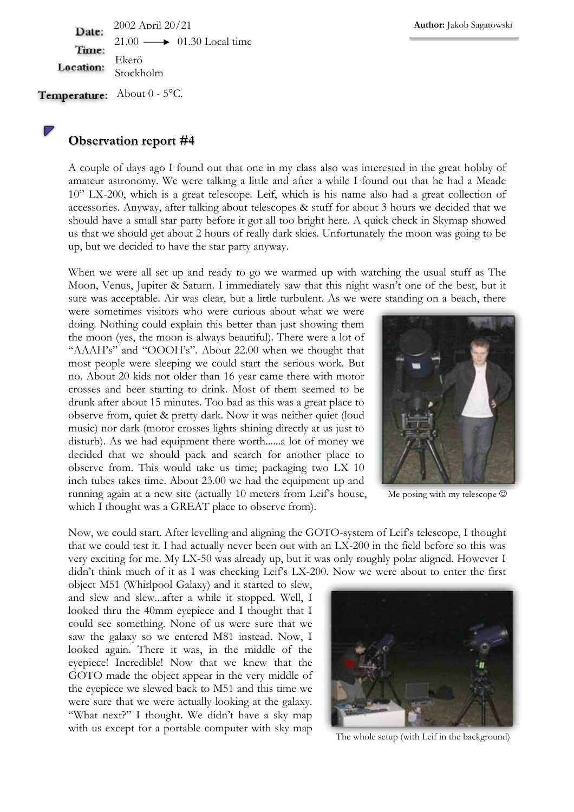2002 April 20/21 Date:  $21.00 \longrightarrow 01.30$  Local time Time: Ekerö Location: Stockholm

Temperature: About 0 - 5°C.

## **Observation report #4**

A couple of days ago I found out that one in my class also was interested in the great hobby of amateur astronomy. We were talking a little and after a while I found out that he had a Meade 10" LX-200, which is a great telescope. Leif, which is his name also had a great collection of accessories. Anyway, after talking about telescopes & stuff for about 3 hours we decided that we should have a small star party before it got all too bright here. A quick check in Skymap showed us that we should get about 2 hours of really dark skies. Unfortunately the moon was going to be up, but we decided to have the star party anyway.

When we were all set up and ready to go we warmed up with watching the usual stuff as The Moon, Venus, Jupiter & Saturn. I immediately saw that this night wasn't one of the best, but it sure was acceptable. Air was clear, but a little turbulent. As we were standing on a beach, there

were sometimes visitors who were curious about what we were doing. Nothing could explain this better than just showing them the moon (yes, the moon is always beautiful). There were a lot of "AAAH's" and "OOOH's". About 22.00 when we thought that most people were sleeping we could start the serious work. But no. About 20 kids not older than 16 year came there with motor crosses and beer starting to drink. Most of them seemed to be drunk after about 15 minutes. Too bad as this was a great place to observe from, quiet & pretty dark. Now it was neither quiet (loud music) nor dark (motor crosses lights shining directly at us just to disturb). As we had equipment there worth......a lot of money we decided that we should pack and search for another place to observe from. This would take us time; packaging two LX 10 inch tubes takes time. About 23.00 we had the equipment up and running again at a new site (actually 10 meters from Leif's house, which I thought was a GREAT place to observe from).



Me posing with my telescope  $\odot$ 

Now, we could start. After levelling and aligning the GOTO-system of Leif's telescope, I thought that we could test it. I had actually never been out with an LX-200 in the field before so this was very exciting for me. My LX-50 was already up, but it was only roughly polar aligned. However I didn't think much of it as I was checking Leif's LX-200. Now we were about to enter the first

object M51 (Whirlpool Galaxy) and it started to slew, and slew and slew...after a while it stopped. Well, I looked thru the 40mm eyepiece and I thought that I could see something. None of us were sure that we saw the galaxy so we entered M81 instead. Now, I looked again. There it was, in the middle of the eyepiece! Incredible! Now that we knew that the GOTO made the object appear in the very middle of the eyepiece we slewed back to M51 and this time we were sure that we were actually looking at the galaxy. "What next?" I thought. We didn't have a sky map with us except for a portable computer with sky map



The whole setup (with Leif in the background)